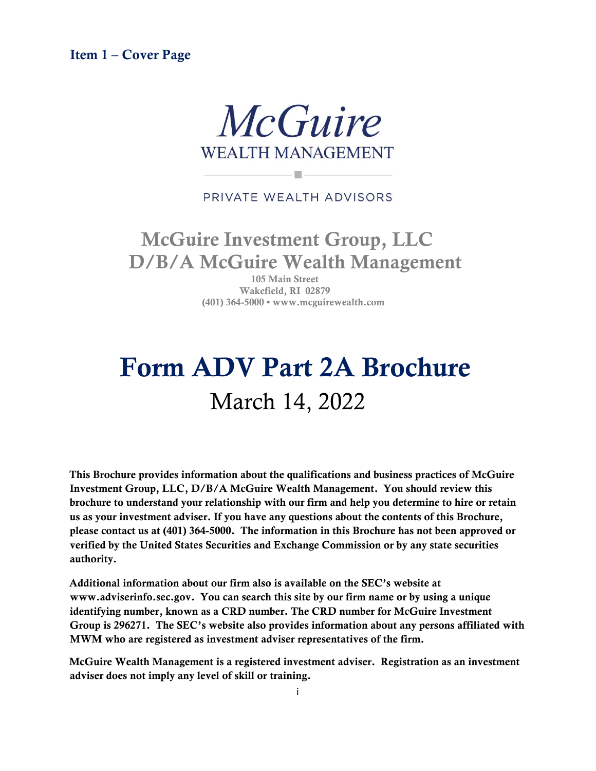<span id="page-0-0"></span>Item 1 – Cover Page



#### PRIVATE WEALTH ADVISORS

u.

# McGuire Investment Group, LLC D/B/A McGuire Wealth Management

105 Main Street Wakefield, RI 02879 (401) 364-5000 • www.mcguirewealth.com

# Form ADV Part 2A Brochure March 14, 2022

This Brochure provides information about the qualifications and business practices of McGuire Investment Group, LLC, D/B/A McGuire Wealth Management. You should review this brochure to understand your relationship with our firm and help you determine to hire or retain us as your investment adviser. If you have any questions about the contents of this Brochure, please contact us at (401) 364-5000. The information in this Brochure has not been approved or verified by the United States Securities and Exchange Commission or by any state securities authority.

Additional information about our firm also is available on the SEC's website at www.adviserinfo.sec.gov. You can search this site by our firm name or by using a unique identifying number, known as a CRD number. The CRD number for McGuire Investment Group is 296271. The SEC's website also provides information about any persons affiliated with MWM who are registered as investment adviser representatives of the firm.

McGuire Wealth Management is a registered investment adviser. Registration as an investment adviser does not imply any level of skill or training.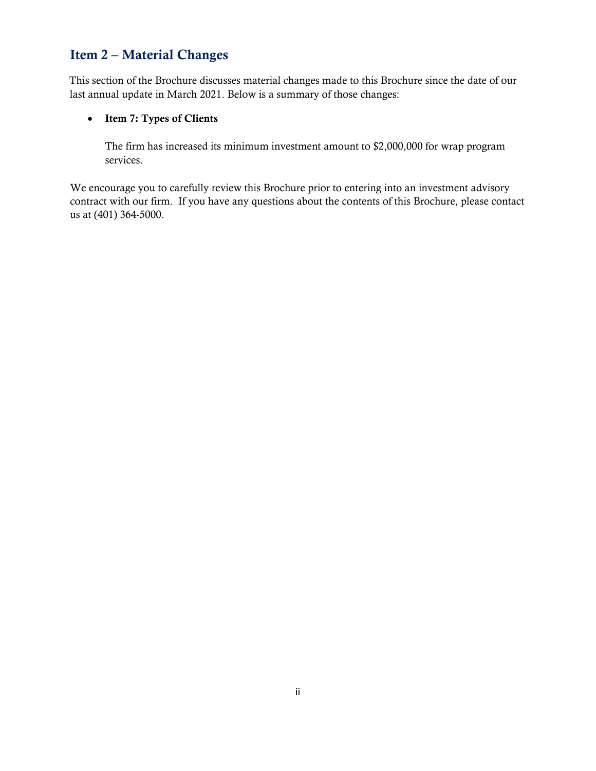# <span id="page-1-0"></span>Item 2 – Material Changes

This section of the Brochure discusses material changes made to this Brochure since the date of our last annual update in March 2021. Below is a summary of those changes:

#### • Item 7: Types of Clients

The firm has increased its minimum investment amount to \$2,000,000 for wrap program services.

We encourage you to carefully review this Brochure prior to entering into an investment advisory contract with our firm. If you have any questions about the contents of this Brochure, please contact us at (401) 364-5000.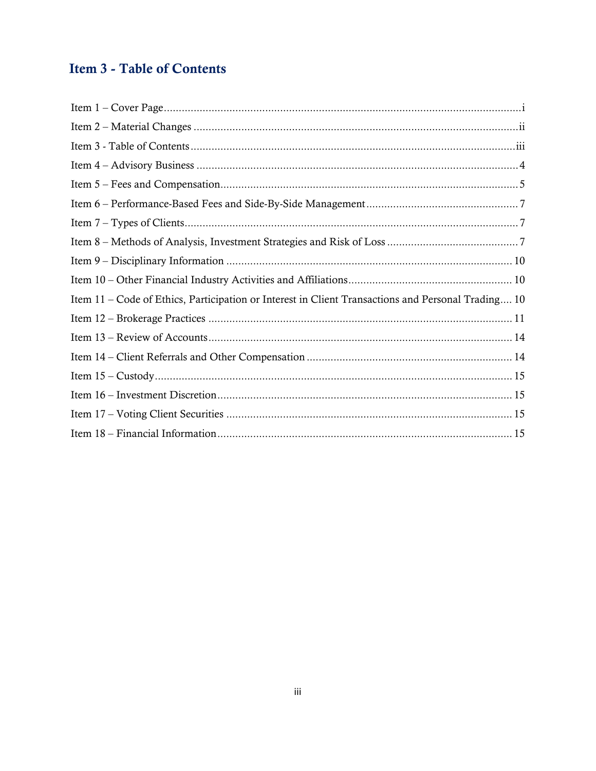# <span id="page-2-0"></span>**Item 3 - Table of Contents**

| Item 11 – Code of Ethics, Participation or Interest in Client Transactions and Personal Trading 10 |
|----------------------------------------------------------------------------------------------------|
|                                                                                                    |
|                                                                                                    |
|                                                                                                    |
|                                                                                                    |
|                                                                                                    |
|                                                                                                    |
|                                                                                                    |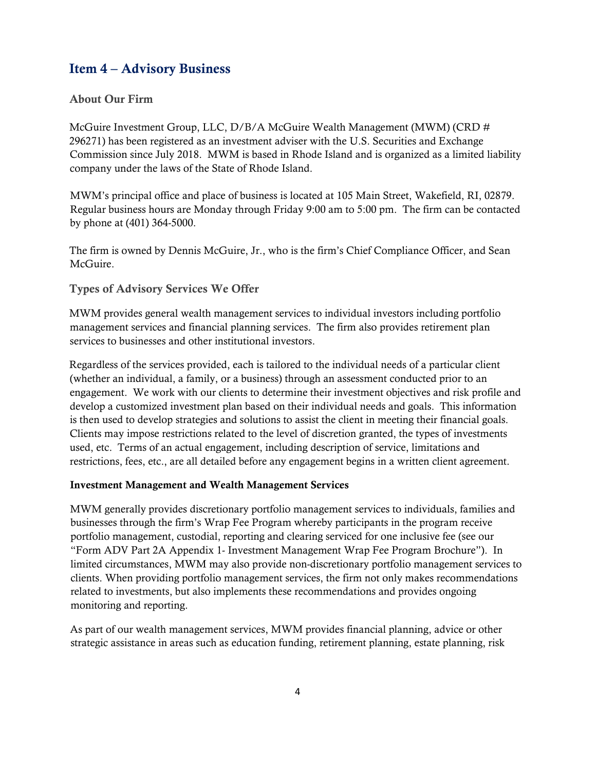# <span id="page-3-0"></span>Item 4 – Advisory Business

#### About Our Firm

McGuire Investment Group, LLC, D/B/A McGuire Wealth Management (MWM) (CRD # 296271) has been registered as an investment adviser with the U.S. Securities and Exchange Commission since July 2018. MWM is based in Rhode Island and is organized as a limited liability company under the laws of the State of Rhode Island.

MWM's principal office and place of business is located at 105 Main Street, Wakefield, RI, 02879. Regular business hours are Monday through Friday 9:00 am to 5:00 pm. The firm can be contacted by phone at (401) 364-5000.

The firm is owned by Dennis McGuire, Jr., who is the firm's Chief Compliance Officer, and Sean McGuire.

#### Types of Advisory Services We Offer

MWM provides general wealth management services to individual investors including portfolio management services and financial planning services. The firm also provides retirement plan services to businesses and other institutional investors.

Regardless of the services provided, each is tailored to the individual needs of a particular client (whether an individual, a family, or a business) through an assessment conducted prior to an engagement. We work with our clients to determine their investment objectives and risk profile and develop a customized investment plan based on their individual needs and goals. This information is then used to develop strategies and solutions to assist the client in meeting their financial goals. Clients may impose restrictions related to the level of discretion granted, the types of investments used, etc. Terms of an actual engagement, including description of service, limitations and restrictions, fees, etc., are all detailed before any engagement begins in a written client agreement.

#### Investment Management and Wealth Management Services

MWM generally provides discretionary portfolio management services to individuals, families and businesses through the firm's Wrap Fee Program whereby participants in the program receive portfolio management, custodial, reporting and clearing serviced for one inclusive fee (see our "Form ADV Part 2A Appendix 1- Investment Management Wrap Fee Program Brochure"). In limited circumstances, MWM may also provide non-discretionary portfolio management services to clients. When providing portfolio management services, the firm not only makes recommendations related to investments, but also implements these recommendations and provides ongoing monitoring and reporting.

As part of our wealth management services, MWM provides financial planning, advice or other strategic assistance in areas such as education funding, retirement planning, estate planning, risk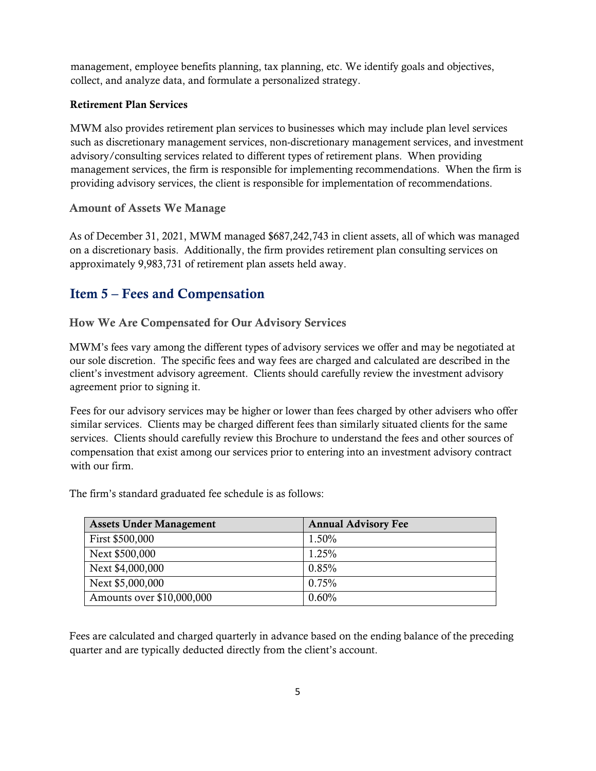management, employee benefits planning, tax planning, etc. We identify goals and objectives, collect, and analyze data, and formulate a personalized strategy.

#### Retirement Plan Services

MWM also provides retirement plan services to businesses which may include plan level services such as discretionary management services, non-discretionary management services, and investment advisory/consulting services related to different types of retirement plans. When providing management services, the firm is responsible for implementing recommendations. When the firm is providing advisory services, the client is responsible for implementation of recommendations.

#### Amount of Assets We Manage

As of December 31, 2021, MWM managed \$687,242,743 in client assets, all of which was managed on a discretionary basis. Additionally, the firm provides retirement plan consulting services on approximately 9,983,731 of retirement plan assets held away.

# <span id="page-4-0"></span>Item 5 – Fees and Compensation

#### How We Are Compensated for Our Advisory Services

MWM's fees vary among the different types of advisory services we offer and may be negotiated at our sole discretion. The specific fees and way fees are charged and calculated are described in the client's investment advisory agreement. Clients should carefully review the investment advisory agreement prior to signing it.

Fees for our advisory services may be higher or lower than fees charged by other advisers who offer similar services. Clients may be charged different fees than similarly situated clients for the same services. Clients should carefully review this Brochure to understand the fees and other sources of compensation that exist among our services prior to entering into an investment advisory contract with our firm.

The firm's standard graduated fee schedule is as follows:

| <b>Assets Under Management</b> | <b>Annual Advisory Fee</b> |
|--------------------------------|----------------------------|
| First \$500,000                | 1.50%                      |
| Next \$500,000                 | $1.25\%$                   |
| Next \$4,000,000               | 0.85%                      |
| Next \$5,000,000               | $0.75\%$                   |
| Amounts over \$10,000,000      | 0.60%                      |

Fees are calculated and charged quarterly in advance based on the ending balance of the preceding quarter and are typically deducted directly from the client's account.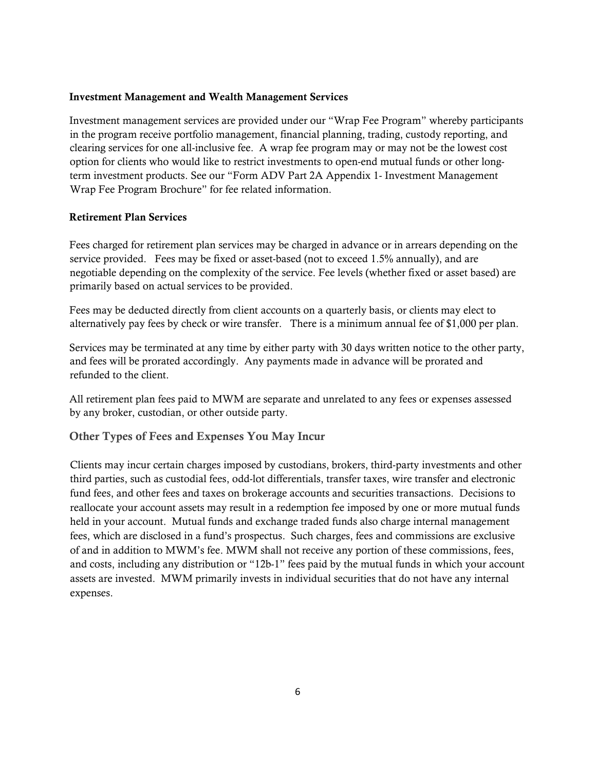#### Investment Management and Wealth Management Services

Investment management services are provided under our "Wrap Fee Program" whereby participants in the program receive portfolio management, financial planning, trading, custody reporting, and clearing services for one all-inclusive fee. A wrap fee program may or may not be the lowest cost option for clients who would like to restrict investments to open-end mutual funds or other longterm investment products. See our "Form ADV Part 2A Appendix 1- Investment Management Wrap Fee Program Brochure" for fee related information.

#### Retirement Plan Services

Fees charged for retirement plan services may be charged in advance or in arrears depending on the service provided. Fees may be fixed or asset-based (not to exceed 1.5% annually), and are negotiable depending on the complexity of the service. Fee levels (whether fixed or asset based) are primarily based on actual services to be provided.

Fees may be deducted directly from client accounts on a quarterly basis, or clients may elect to alternatively pay fees by check or wire transfer. There is a minimum annual fee of \$1,000 per plan.

Services may be terminated at any time by either party with 30 days written notice to the other party, and fees will be prorated accordingly. Any payments made in advance will be prorated and refunded to the client.

All retirement plan fees paid to MWM are separate and unrelated to any fees or expenses assessed by any broker, custodian, or other outside party.

#### Other Types of Fees and Expenses You May Incur

Clients may incur certain charges imposed by custodians, brokers, third-party investments and other third parties, such as custodial fees, odd-lot differentials, transfer taxes, wire transfer and electronic fund fees, and other fees and taxes on brokerage accounts and securities transactions. Decisions to reallocate your account assets may result in a redemption fee imposed by one or more mutual funds held in your account. Mutual funds and exchange traded funds also charge internal management fees, which are disclosed in a fund's prospectus. Such charges, fees and commissions are exclusive of and in addition to MWM's fee. MWM shall not receive any portion of these commissions, fees, and costs, including any distribution or "12b-1" fees paid by the mutual funds in which your account assets are invested. MWM primarily invests in individual securities that do not have any internal expenses.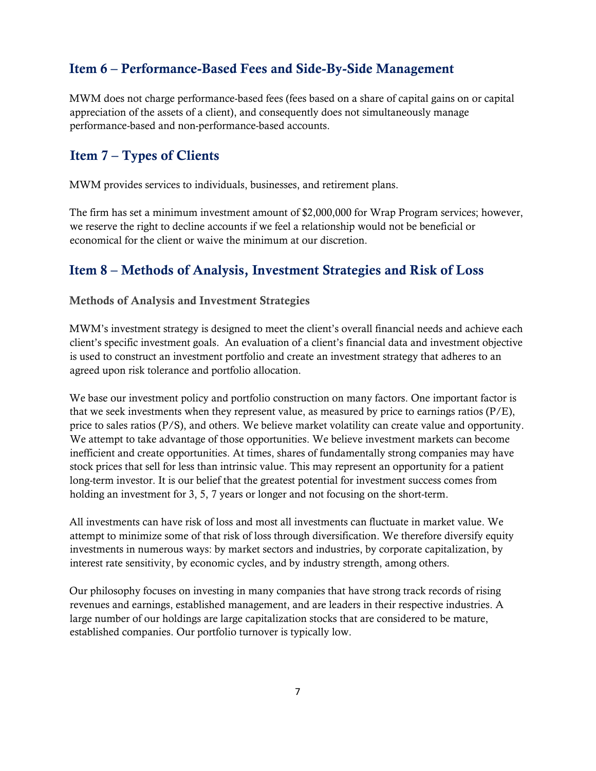# <span id="page-6-0"></span>Item 6 – Performance-Based Fees and Side-By-Side Management

MWM does not charge performance-based fees (fees based on a share of capital gains on or capital appreciation of the assets of a client), and consequently does not simultaneously manage performance-based and non-performance-based accounts.

# <span id="page-6-1"></span>Item 7 – Types of Clients

MWM provides services to individuals, businesses, and retirement plans.

The firm has set a minimum investment amount of \$2,000,000 for Wrap Program services; however, we reserve the right to decline accounts if we feel a relationship would not be beneficial or economical for the client or waive the minimum at our discretion.

# <span id="page-6-2"></span>Item 8 – Methods of Analysis, Investment Strategies and Risk of Loss

#### Methods of Analysis and Investment Strategies

MWM's investment strategy is designed to meet the client's overall financial needs and achieve each client's specific investment goals. An evaluation of a client's financial data and investment objective is used to construct an investment portfolio and create an investment strategy that adheres to an agreed upon risk tolerance and portfolio allocation.

We base our investment policy and portfolio construction on many factors. One important factor is that we seek investments when they represent value, as measured by price to earnings ratios (P/E), price to sales ratios (P/S), and others. We believe market volatility can create value and opportunity. We attempt to take advantage of those opportunities. We believe investment markets can become inefficient and create opportunities. At times, shares of fundamentally strong companies may have stock prices that sell for less than intrinsic value. This may represent an opportunity for a patient long-term investor. It is our belief that the greatest potential for investment success comes from holding an investment for 3, 5, 7 years or longer and not focusing on the short-term.

All investments can have risk of loss and most all investments can fluctuate in market value. We attempt to minimize some of that risk of loss through diversification. We therefore diversify equity investments in numerous ways: by market sectors and industries, by corporate capitalization, by interest rate sensitivity, by economic cycles, and by industry strength, among others.

Our philosophy focuses on investing in many companies that have strong track records of rising revenues and earnings, established management, and are leaders in their respective industries. A large number of our holdings are large capitalization stocks that are considered to be mature, established companies. Our portfolio turnover is typically low.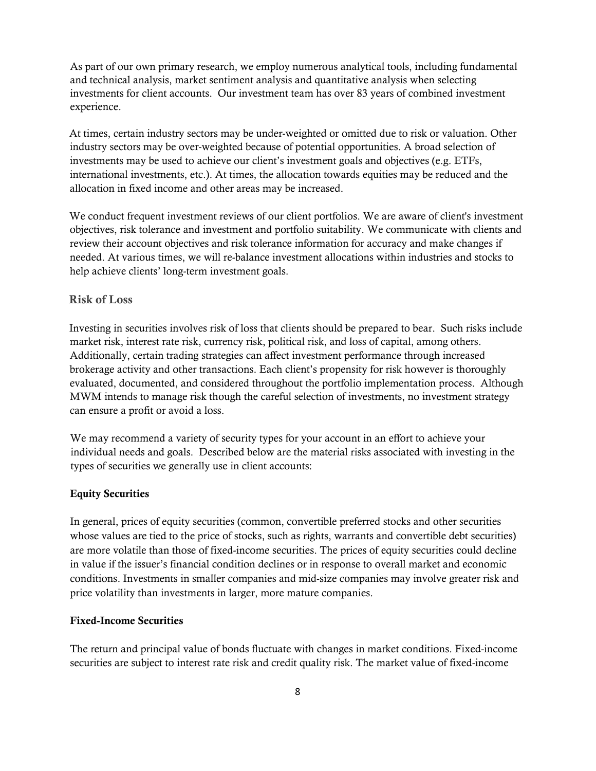As part of our own primary research, we employ numerous analytical tools, including fundamental and technical analysis, market sentiment analysis and quantitative analysis when selecting investments for client accounts. Our investment team has over 83 years of combined investment experience.

At times, certain industry sectors may be under-weighted or omitted due to risk or valuation. Other industry sectors may be over-weighted because of potential opportunities. A broad selection of investments may be used to achieve our client's investment goals and objectives (e.g. ETFs, international investments, etc.). At times, the allocation towards equities may be reduced and the allocation in fixed income and other areas may be increased.

We conduct frequent investment reviews of our client portfolios. We are aware of client's investment objectives, risk tolerance and investment and portfolio suitability. We communicate with clients and review their account objectives and risk tolerance information for accuracy and make changes if needed. At various times, we will re-balance investment allocations within industries and stocks to help achieve clients' long-term investment goals.

#### Risk of Loss

Investing in securities involves risk of loss that clients should be prepared to bear. Such risks include market risk, interest rate risk, currency risk, political risk, and loss of capital, among others. Additionally, certain trading strategies can affect investment performance through increased brokerage activity and other transactions. Each client's propensity for risk however is thoroughly evaluated, documented, and considered throughout the portfolio implementation process. Although MWM intends to manage risk though the careful selection of investments, no investment strategy can ensure a profit or avoid a loss.

We may recommend a variety of security types for your account in an effort to achieve your individual needs and goals. Described below are the material risks associated with investing in the types of securities we generally use in client accounts:

#### Equity Securities

In general, prices of equity securities (common, convertible preferred stocks and other securities whose values are tied to the price of stocks, such as rights, warrants and convertible debt securities) are more volatile than those of fixed-income securities. The prices of equity securities could decline in value if the issuer's financial condition declines or in response to overall market and economic conditions. Investments in smaller companies and mid-size companies may involve greater risk and price volatility than investments in larger, more mature companies.

#### Fixed-Income Securities

The return and principal value of bonds fluctuate with changes in market conditions. Fixed-income securities are subject to interest rate risk and credit quality risk. The market value of fixed-income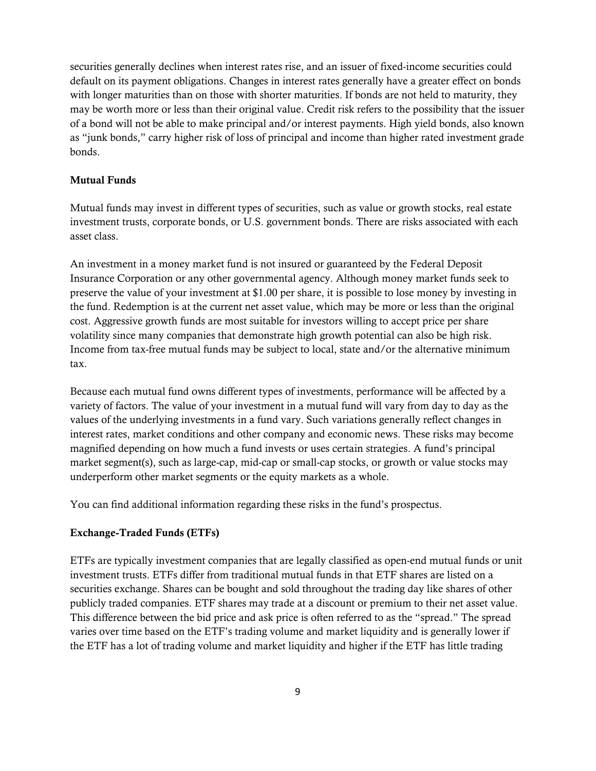securities generally declines when interest rates rise, and an issuer of fixed-income securities could default on its payment obligations. Changes in interest rates generally have a greater effect on bonds with longer maturities than on those with shorter maturities. If bonds are not held to maturity, they may be worth more or less than their original value. Credit risk refers to the possibility that the issuer of a bond will not be able to make principal and/or interest payments. High yield bonds, also known as "junk bonds," carry higher risk of loss of principal and income than higher rated investment grade bonds.

#### Mutual Funds

Mutual funds may invest in different types of securities, such as value or growth stocks, real estate investment trusts, corporate bonds, or U.S. government bonds. There are risks associated with each asset class.

An investment in a money market fund is not insured or guaranteed by the Federal Deposit Insurance Corporation or any other governmental agency. Although money market funds seek to preserve the value of your investment at \$1.00 per share, it is possible to lose money by investing in the fund. Redemption is at the current net asset value, which may be more or less than the original cost. Aggressive growth funds are most suitable for investors willing to accept price per share volatility since many companies that demonstrate high growth potential can also be high risk. Income from tax-free mutual funds may be subject to local, state and/or the alternative minimum tax.

Because each mutual fund owns different types of investments, performance will be affected by a variety of factors. The value of your investment in a mutual fund will vary from day to day as the values of the underlying investments in a fund vary. Such variations generally reflect changes in interest rates, market conditions and other company and economic news. These risks may become magnified depending on how much a fund invests or uses certain strategies. A fund's principal market segment(s), such as large-cap, mid-cap or small-cap stocks, or growth or value stocks may underperform other market segments or the equity markets as a whole.

You can find additional information regarding these risks in the fund's prospectus.

#### Exchange-Traded Funds (ETFs)

ETFs are typically investment companies that are legally classified as open-end mutual funds or unit investment trusts. ETFs differ from traditional mutual funds in that ETF shares are listed on a securities exchange. Shares can be bought and sold throughout the trading day like shares of other publicly traded companies. ETF shares may trade at a discount or premium to their net asset value. This difference between the bid price and ask price is often referred to as the "spread." The spread varies over time based on the ETF's trading volume and market liquidity and is generally lower if the ETF has a lot of trading volume and market liquidity and higher if the ETF has little trading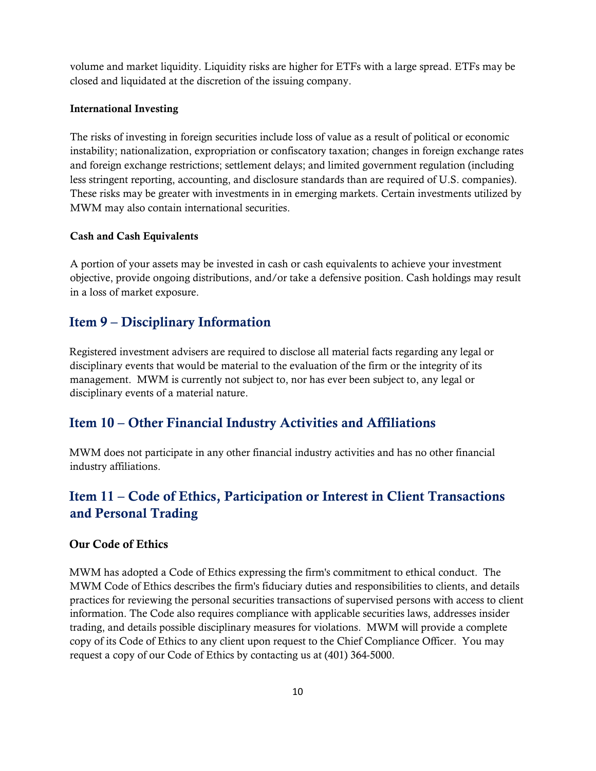volume and market liquidity. Liquidity risks are higher for ETFs with a large spread. ETFs may be closed and liquidated at the discretion of the issuing company.

#### International Investing

The risks of investing in foreign securities include loss of value as a result of political or economic instability; nationalization, expropriation or confiscatory taxation; changes in foreign exchange rates and foreign exchange restrictions; settlement delays; and limited government regulation (including less stringent reporting, accounting, and disclosure standards than are required of U.S. companies). These risks may be greater with investments in in emerging markets. Certain investments utilized by MWM may also contain international securities.

#### Cash and Cash Equivalents

A portion of your assets may be invested in cash or cash equivalents to achieve your investment objective, provide ongoing distributions, and/or take a defensive position. Cash holdings may result in a loss of market exposure.

# <span id="page-9-0"></span>Item 9 – Disciplinary Information

Registered investment advisers are required to disclose all material facts regarding any legal or disciplinary events that would be material to the evaluation of the firm or the integrity of its management. MWM is currently not subject to, nor has ever been subject to, any legal or disciplinary events of a material nature.

## <span id="page-9-1"></span>Item 10 – Other Financial Industry Activities and Affiliations

MWM does not participate in any other financial industry activities and has no other financial industry affiliations.

# <span id="page-9-2"></span>Item 11 – Code of Ethics, Participation or Interest in Client Transactions and Personal Trading

#### Our Code of Ethics

MWM has adopted a Code of Ethics expressing the firm's commitment to ethical conduct. The MWM Code of Ethics describes the firm's fiduciary duties and responsibilities to clients, and details practices for reviewing the personal securities transactions of supervised persons with access to client information. The Code also requires compliance with applicable securities laws, addresses insider trading, and details possible disciplinary measures for violations. MWM will provide a complete copy of its Code of Ethics to any client upon request to the Chief Compliance Officer. You may request a copy of our Code of Ethics by contacting us at (401) 364-5000.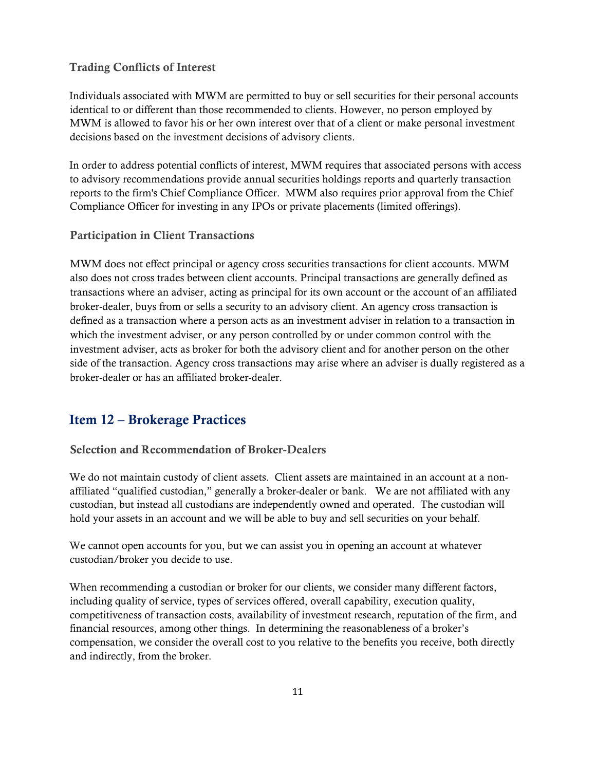#### Trading Conflicts of Interest

Individuals associated with MWM are permitted to buy or sell securities for their personal accounts identical to or different than those recommended to clients. However, no person employed by MWM is allowed to favor his or her own interest over that of a client or make personal investment decisions based on the investment decisions of advisory clients.

In order to address potential conflicts of interest, MWM requires that associated persons with access to advisory recommendations provide annual securities holdings reports and quarterly transaction reports to the firm's Chief Compliance Officer. MWM also requires prior approval from the Chief Compliance Officer for investing in any IPOs or private placements (limited offerings).

#### Participation in Client Transactions

MWM does not effect principal or agency cross securities transactions for client accounts. MWM also does not cross trades between client accounts. Principal transactions are generally defined as transactions where an adviser, acting as principal for its own account or the account of an affiliated broker-dealer, buys from or sells a security to an advisory client. An agency cross transaction is defined as a transaction where a person acts as an investment adviser in relation to a transaction in which the investment adviser, or any person controlled by or under common control with the investment adviser, acts as broker for both the advisory client and for another person on the other side of the transaction. Agency cross transactions may arise where an adviser is dually registered as a broker-dealer or has an affiliated broker-dealer.

# <span id="page-10-0"></span>Item 12 – Brokerage Practices

#### Selection and Recommendation of Broker-Dealers

We do not maintain custody of client assets. Client assets are maintained in an account at a nonaffiliated "qualified custodian," generally a broker-dealer or bank. We are not affiliated with any custodian, but instead all custodians are independently owned and operated. The custodian will hold your assets in an account and we will be able to buy and sell securities on your behalf.

We cannot open accounts for you, but we can assist you in opening an account at whatever custodian/broker you decide to use.

When recommending a custodian or broker for our clients, we consider many different factors, including quality of service, types of services offered, overall capability, execution quality, competitiveness of transaction costs, availability of investment research, reputation of the firm, and financial resources, among other things. In determining the reasonableness of a broker's compensation, we consider the overall cost to you relative to the benefits you receive, both directly and indirectly, from the broker.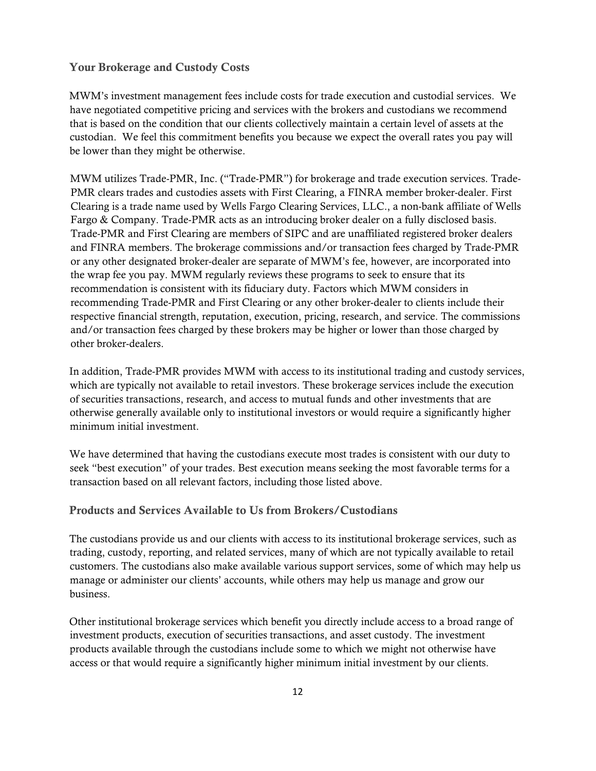#### Your Brokerage and Custody Costs

MWM's investment management fees include costs for trade execution and custodial services. We have negotiated competitive pricing and services with the brokers and custodians we recommend that is based on the condition that our clients collectively maintain a certain level of assets at the custodian. We feel this commitment benefits you because we expect the overall rates you pay will be lower than they might be otherwise.

MWM utilizes Trade-PMR, Inc. ("Trade-PMR") for brokerage and trade execution services. Trade-PMR clears trades and custodies assets with First Clearing, a FINRA member broker-dealer. First Clearing is a trade name used by Wells Fargo Clearing Services, LLC., a non-bank affiliate of Wells Fargo & Company. Trade-PMR acts as an introducing broker dealer on a fully disclosed basis. Trade-PMR and First Clearing are members of SIPC and are unaffiliated registered broker dealers and FINRA members. The brokerage commissions and/or transaction fees charged by Trade-PMR or any other designated broker-dealer are separate of MWM's fee, however, are incorporated into the wrap fee you pay. MWM regularly reviews these programs to seek to ensure that its recommendation is consistent with its fiduciary duty. Factors which MWM considers in recommending Trade-PMR and First Clearing or any other broker-dealer to clients include their respective financial strength, reputation, execution, pricing, research, and service. The commissions and/or transaction fees charged by these brokers may be higher or lower than those charged by other broker-dealers.

In addition, Trade-PMR provides MWM with access to its institutional trading and custody services, which are typically not available to retail investors. These brokerage services include the execution of securities transactions, research, and access to mutual funds and other investments that are otherwise generally available only to institutional investors or would require a significantly higher minimum initial investment.

We have determined that having the custodians execute most trades is consistent with our duty to seek "best execution" of your trades. Best execution means seeking the most favorable terms for a transaction based on all relevant factors, including those listed above.

#### Products and Services Available to Us from Brokers/Custodians

The custodians provide us and our clients with access to its institutional brokerage services, such as trading, custody, reporting, and related services, many of which are not typically available to retail customers. The custodians also make available various support services, some of which may help us manage or administer our clients' accounts, while others may help us manage and grow our business.

Other institutional brokerage services which benefit you directly include access to a broad range of investment products, execution of securities transactions, and asset custody. The investment products available through the custodians include some to which we might not otherwise have access or that would require a significantly higher minimum initial investment by our clients.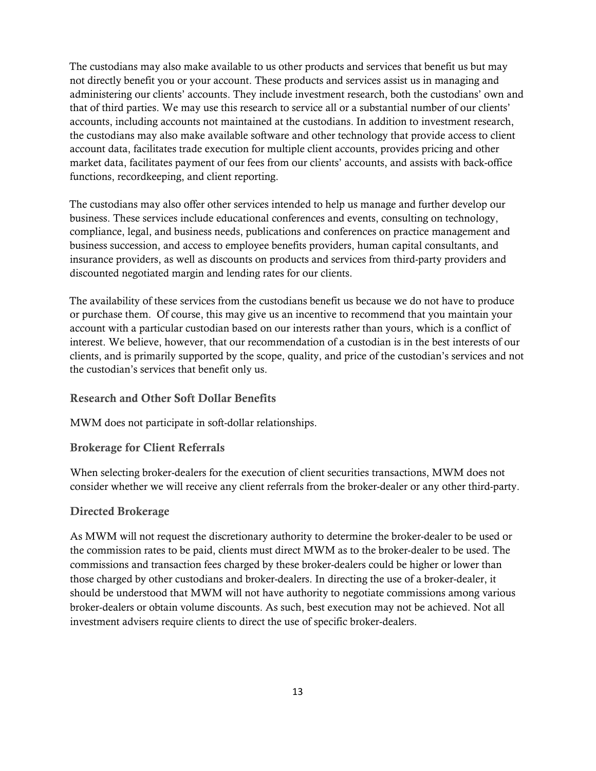The custodians may also make available to us other products and services that benefit us but may not directly benefit you or your account. These products and services assist us in managing and administering our clients' accounts. They include investment research, both the custodians' own and that of third parties. We may use this research to service all or a substantial number of our clients' accounts, including accounts not maintained at the custodians. In addition to investment research, the custodians may also make available software and other technology that provide access to client account data, facilitates trade execution for multiple client accounts, provides pricing and other market data, facilitates payment of our fees from our clients' accounts, and assists with back-office functions, recordkeeping, and client reporting.

The custodians may also offer other services intended to help us manage and further develop our business. These services include educational conferences and events, consulting on technology, compliance, legal, and business needs, publications and conferences on practice management and business succession, and access to employee benefits providers, human capital consultants, and insurance providers, as well as discounts on products and services from third-party providers and discounted negotiated margin and lending rates for our clients.

The availability of these services from the custodians benefit us because we do not have to produce or purchase them. Of course, this may give us an incentive to recommend that you maintain your account with a particular custodian based on our interests rather than yours, which is a conflict of interest. We believe, however, that our recommendation of a custodian is in the best interests of our clients, and is primarily supported by the scope, quality, and price of the custodian's services and not the custodian's services that benefit only us.

#### Research and Other Soft Dollar Benefits

MWM does not participate in soft-dollar relationships.

#### Brokerage for Client Referrals

When selecting broker-dealers for the execution of client securities transactions, MWM does not consider whether we will receive any client referrals from the broker-dealer or any other third-party.

#### Directed Brokerage

As MWM will not request the discretionary authority to determine the broker-dealer to be used or the commission rates to be paid, clients must direct MWM as to the broker-dealer to be used. The commissions and transaction fees charged by these broker-dealers could be higher or lower than those charged by other custodians and broker-dealers. In directing the use of a broker-dealer, it should be understood that MWM will not have authority to negotiate commissions among various broker-dealers or obtain volume discounts. As such, best execution may not be achieved. Not all investment advisers require clients to direct the use of specific broker-dealers.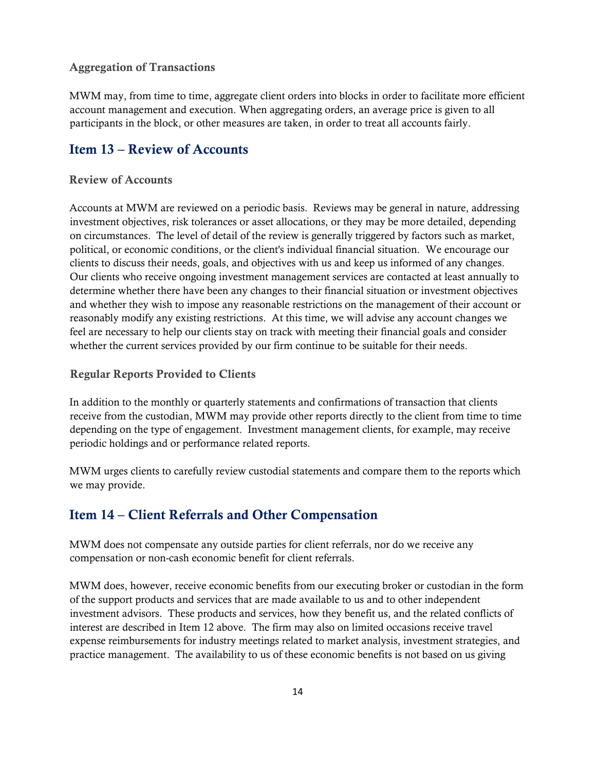#### Aggregation of Transactions

MWM may, from time to time, aggregate client orders into blocks in order to facilitate more efficient account management and execution. When aggregating orders, an average price is given to all participants in the block, or other measures are taken, in order to treat all accounts fairly.

# <span id="page-13-0"></span>Item 13 – Review of Accounts

#### Review of Accounts

Accounts at MWM are reviewed on a periodic basis. Reviews may be general in nature, addressing investment objectives, risk tolerances or asset allocations, or they may be more detailed, depending on circumstances. The level of detail of the review is generally triggered by factors such as market, political, or economic conditions, or the client's individual financial situation. We encourage our clients to discuss their needs, goals, and objectives with us and keep us informed of any changes. Our clients who receive ongoing investment management services are contacted at least annually to determine whether there have been any changes to their financial situation or investment objectives and whether they wish to impose any reasonable restrictions on the management of their account or reasonably modify any existing restrictions. At this time, we will advise any account changes we feel are necessary to help our clients stay on track with meeting their financial goals and consider whether the current services provided by our firm continue to be suitable for their needs.

#### Regular Reports Provided to Clients

In addition to the monthly or quarterly statements and confirmations of transaction that clients receive from the custodian, MWM may provide other reports directly to the client from time to time depending on the type of engagement. Investment management clients, for example, may receive periodic holdings and or performance related reports.

MWM urges clients to carefully review custodial statements and compare them to the reports which we may provide.

## <span id="page-13-1"></span>Item 14 – Client Referrals and Other Compensation

MWM does not compensate any outside parties for client referrals, nor do we receive any compensation or non-cash economic benefit for client referrals.

MWM does, however, receive economic benefits from our executing broker or custodian in the form of the support products and services that are made available to us and to other independent investment advisors. These products and services, how they benefit us, and the related conflicts of interest are described in Item 12 above. The firm may also on limited occasions receive travel expense reimbursements for industry meetings related to market analysis, investment strategies, and practice management. The availability to us of these economic benefits is not based on us giving